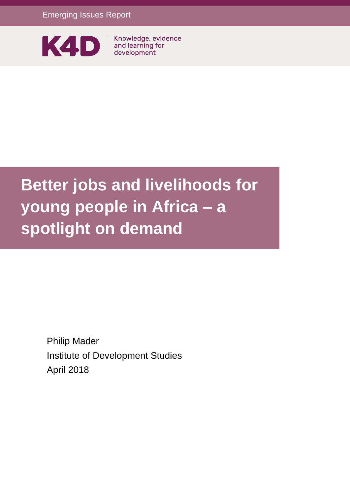

# **Better jobs and livelihoods for young people in Africa – a spotlight on demand**

Philip Mader Institute of Development Studies April 2018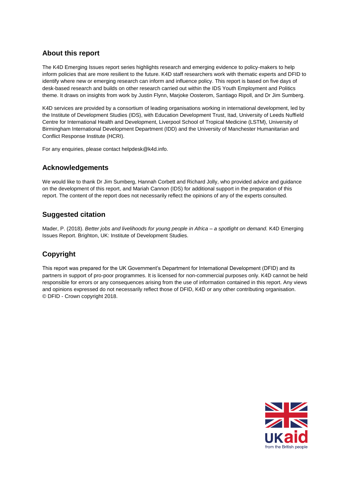#### **About this report**

The K4D Emerging Issues report series highlights research and emerging evidence to policy-makers to help inform policies that are more resilient to the future. K4D staff researchers work with thematic experts and DFID to identify where new or emerging research can inform and influence policy. This report is based on five days of desk-based research and builds on other research carried out within the IDS Youth Employment and Politics theme. It draws on insights from work by Justin Flynn, Marjoke Oosterom, Santiago Ripoll, and Dr Jim Sumberg.

K4D services are provided by a consortium of leading organisations working in international development, led by the Institute of Development Studies (IDS), with Education Development Trust, Itad, University of Leeds Nuffield Centre for International Health and Development, Liverpool School of Tropical Medicine (LSTM), University of Birmingham International Development Department (IDD) and the University of Manchester Humanitarian and Conflict Response Institute (HCRI).

For any enquiries, please contact helpdesk@k4d.info.

#### **Acknowledgements**

We would like to thank Dr Jim Sumberg, Hannah Corbett and Richard Jolly, who provided advice and guidance on the development of this report, and Mariah Cannon (IDS) for additional support in the preparation of this report. The content of the report does not necessarily reflect the opinions of any of the experts consulted.

#### **Suggested citation**

Mader, P. (2018). *Better jobs and livelihoods for young people in Africa – a spotlight on demand.* K4D Emerging Issues Report. Brighton, UK: Institute of Development Studies.

### **Copyright**

This report was prepared for the UK Government's Department for International Development (DFID) and its partners in support of pro-poor programmes. It is licensed for non-commercial purposes only. K4D cannot be held responsible for errors or any consequences arising from the use of information contained in this report. Any views and opinions expressed do not necessarily reflect those of DFID, K4D or any other contributing organisation. © DFID - Crown copyright 2018.

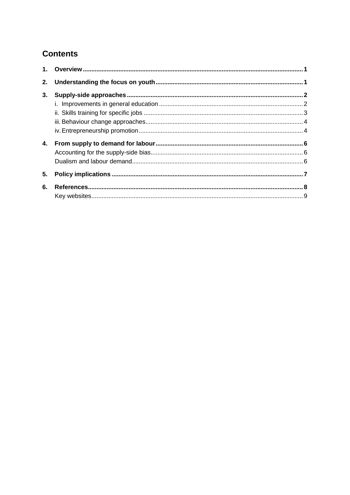# **Contents**

| 2. |  |
|----|--|
| 3. |  |
|    |  |
|    |  |
|    |  |
|    |  |
| 4. |  |
|    |  |
|    |  |
| 5. |  |
|    |  |
| 6. |  |
|    |  |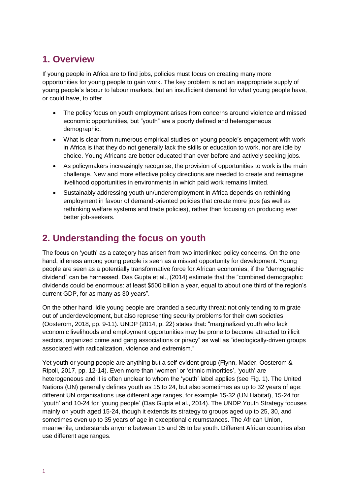# <span id="page-3-0"></span>**1. Overview**

If young people in Africa are to find jobs, policies must focus on creating many more opportunities for young people to gain work. The key problem is not an inappropriate supply of young people's labour to labour markets, but an insufficient demand for what young people have, or could have, to offer.

- The policy focus on youth employment arises from concerns around violence and missed economic opportunities, but "youth" are a poorly defined and heterogeneous demographic.
- What is clear from numerous empirical studies on young people's engagement with work in Africa is that they do not generally lack the skills or education to work, nor are idle by choice. Young Africans are better educated than ever before and actively seeking jobs.
- As policymakers increasingly recognise, the provision of opportunities to work is the main challenge. New and more effective policy directions are needed to create and reimagine livelihood opportunities in environments in which paid work remains limited.
- Sustainably addressing youth un/underemployment in Africa depends on rethinking employment in favour of demand-oriented policies that create more jobs (as well as rethinking welfare systems and trade policies), rather than focusing on producing ever better job-seekers.

# <span id="page-3-1"></span>**2. Understanding the focus on youth**

The focus on 'youth' as a category has arisen from two interlinked policy concerns. On the one hand, idleness among young people is seen as a missed opportunity for development. Young people are seen as a potentially transformative force for African economies, if the "demographic dividend" can be harnessed. Das Gupta et al., (2014) estimate that the "combined demographic dividends could be enormous: at least \$500 billion a year, equal to about one third of the region's current GDP, for as many as 30 years".

On the other hand, idle young people are branded a security threat: not only tending to migrate out of underdevelopment, but also representing security problems for their own societies (Oosterom, 2018, pp. 9-11). UNDP (2014, p. 22) states that: "marginalized youth who lack economic livelihoods and employment opportunities may be prone to become attracted to illicit sectors, organized crime and gang associations or piracy" as well as "ideologically-driven groups associated with radicalization, violence and extremism."

Yet youth or young people are anything but a self-evident group (Flynn, Mader, Oosterom & Ripoll, 2017, pp. 12-14). Even more than 'women' or 'ethnic minorities', 'youth' are heterogeneous and it is often unclear to whom the 'youth' label applies (see Fig. 1). The United Nations (UN) generally defines youth as 15 to 24, but also sometimes as up to 32 years of age: different UN organisations use different age ranges, for example 15-32 (UN Habitat), 15-24 for 'youth' and 10-24 for 'young people' (Das Gupta et al., 2014). The UNDP Youth Strategy focuses mainly on youth aged 15-24, though it extends its strategy to groups aged up to 25, 30, and sometimes even up to 35 years of age in exceptional circumstances. The African Union, meanwhile, understands anyone between 15 and 35 to be youth. Different African countries also use different age ranges.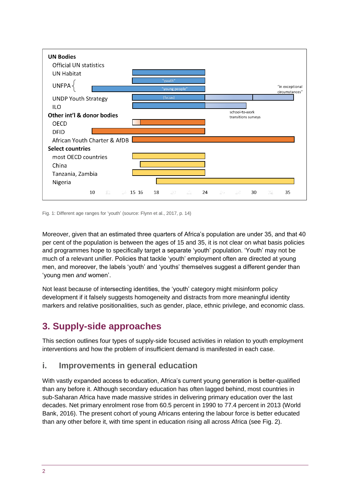

Fig. 1: Different age ranges for 'youth' (source: Flynn et al., 2017, p. 14)

Moreover, given that an estimated three quarters of Africa's population are under 35, and that 40 per cent of the population is between the ages of 15 and 35, it is not clear on what basis policies and programmes hope to specifically target a separate 'youth' population. 'Youth' may not be much of a relevant unifier. Policies that tackle 'youth' employment often are directed at young men, and moreover, the labels 'youth' and 'youths' themselves suggest a different gender than 'young men *and* women'.

Not least because of intersecting identities, the 'youth' category might misinform policy development if it falsely suggests homogeneity and distracts from more meaningful identity markers and relative positionalities, such as gender, place, ethnic privilege, and economic class.

# <span id="page-4-0"></span>**3. Supply-side approaches**

This section outlines four types of supply-side focused activities in relation to youth employment interventions and how the problem of insufficient demand is manifested in each case.

## <span id="page-4-1"></span>**i. Improvements in general education**

With vastly expanded access to education, Africa's current young generation is better-qualified than any before it. Although secondary education has often lagged behind, most countries in sub-Saharan Africa have made massive strides in delivering primary education over the last decades. Net primary enrolment rose from 60.5 percent in 1990 to 77.4 percent in 2013 (World Bank, 2016). The present cohort of young Africans entering the labour force is better educated than any other before it, with time spent in education rising all across Africa (see Fig. 2).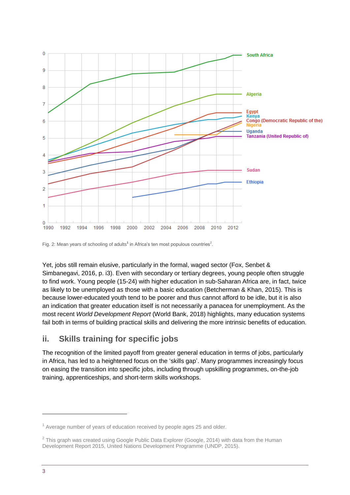

Fig. 2: Mean years of schooling of adults<sup>1</sup> in Africa's ten most populous countries<sup>2</sup>.

Yet, jobs still remain elusive, particularly in the formal, waged sector (Fox, Senbet & Simbanegavi, 2016, p. i3). Even with secondary or tertiary degrees, young people often struggle to find work. Young people (15-24) with higher education in sub-Saharan Africa are, in fact, twice as likely to be unemployed as those with a basic education (Betcherman & Khan, 2015). This is because lower-educated youth tend to be poorer and thus cannot afford to be idle, but it is also an indication that greater education itself is not necessarily a panacea for unemployment. As the most recent *World Development Report* (World Bank, 2018) highlights, many education systems fail both in terms of building practical skills and delivering the more intrinsic benefits of education.

### <span id="page-5-0"></span>**ii. Skills training for specific jobs**

The recognition of the limited payoff from greater general education in terms of jobs, particularly in Africa, has led to a heightened focus on the 'skills gap'. Many programmes increasingly focus on easing the transition into specific jobs, including through upskilling programmes, on-the-job training, apprenticeships, and short-term skills workshops.

-

 $1$  Average number of years of education received by people ages 25 and older.

 $2$  This graph was created using Google Public Data Explorer (Google, 2014) with data from the Human Development Report 2015, United Nations Development Programme (UNDP, 2015).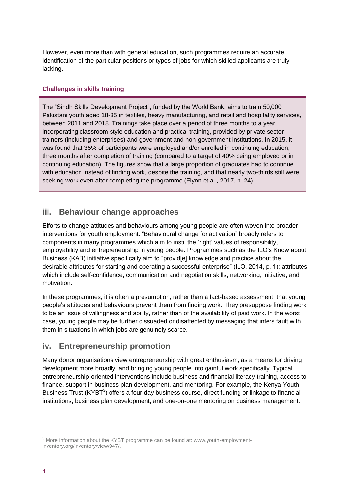However, even more than with general education, such programmes require an accurate identification of the particular positions or types of jobs for which skilled applicants are truly lacking.

#### **Challenges in skills training**

The "Sindh Skills Development Project", funded by the World Bank, aims to train 50,000 Pakistani youth aged 18-35 in textiles, heavy manufacturing, and retail and hospitality services, between 2011 and 2018. Trainings take place over a period of three months to a year, incorporating classroom-style education and practical training, provided by private sector trainers (including enterprises) and government and non-government institutions. In 2015, it was found that 35% of participants were employed and/or enrolled in continuing education, three months after completion of training (compared to a target of 40% being employed or in continuing education). The figures show that a large proportion of graduates had to continue with education instead of finding work, despite the training, and that nearly two-thirds still were seeking work even after completing the programme (Flynn et al., 2017, p. 24).

### <span id="page-6-0"></span>**iii. Behaviour change approaches**

Efforts to change attitudes and behaviours among young people are often woven into broader interventions for youth employment. "Behavioural change for activation" broadly refers to components in many programmes which aim to instil the 'right' values of responsibility, employability and entrepreneurship in young people. Programmes such as the ILO's Know about Business (KAB) initiative specifically aim to "provid[e] knowledge and practice about the desirable attributes for starting and operating a successful enterprise" (ILO, 2014, p. 1); attributes which include self-confidence, communication and negotiation skills, networking, initiative, and motivation.

In these programmes, it is often a presumption, rather than a fact-based assessment, that young people's attitudes and behaviours prevent them from finding work. They presuppose finding work to be an issue of willingness and ability, rather than of the availability of paid work. In the worst case, young people may be further dissuaded or disaffected by messaging that infers fault with them in situations in which jobs are genuinely scarce.

### <span id="page-6-1"></span>**iv. Entrepreneurship promotion**

Many donor organisations view entrepreneurship with great enthusiasm, as a means for driving development more broadly, and bringing young people into gainful work specifically. Typical entrepreneurship-oriented interventions include business and financial literacy training, access to finance, support in business plan development, and mentoring. For example, the Kenya Youth Business Trust (KYBT<sup>3</sup>) offers a four-day business course, direct funding or linkage to financial institutions, business plan development, and one-on-one mentoring on business management.

1

<sup>&</sup>lt;sup>3</sup> More information about the KYBT programme can be found at: www.youth-employmentinventory.org/inventory/view/947/.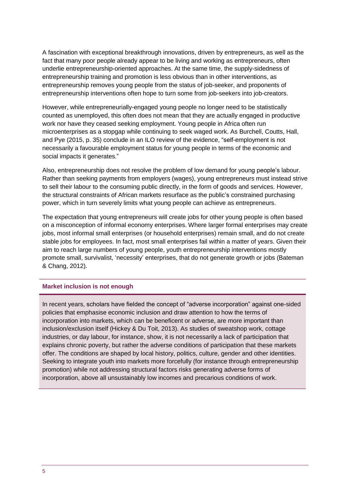A fascination with exceptional breakthrough innovations, driven by entrepreneurs, as well as the fact that many poor people already appear to be living and working as entrepreneurs, often underlie entrepreneurship-oriented approaches. At the same time, the supply-sidedness of entrepreneurship training and promotion is less obvious than in other interventions, as entrepreneurship removes young people from the status of job-seeker, and proponents of entrepreneurship interventions often hope to turn some from job-seekers into job-creators.

However, while entrepreneurially-engaged young people no longer need to be statistically counted as unemployed, this often does not mean that they are actually engaged in productive work nor have they ceased seeking employment. Young people in Africa often run microenterprises as a stopgap while continuing to seek waged work. As Burchell, Coutts, Hall, and Pye (2015, p. 35) conclude in an ILO review of the evidence, "self-employment is not necessarily a favourable employment status for young people in terms of the economic and social impacts it generates."

Also, entrepreneurship does not resolve the problem of low demand for young people's labour. Rather than seeking payments from employers (wages), young entrepreneurs must instead strive to sell their labour to the consuming public directly, in the form of goods and services. However, the structural constraints of African markets resurface as the public's constrained purchasing power, which in turn severely limits what young people can achieve as entrepreneurs.

The expectation that young entrepreneurs will create jobs for other young people is often based on a misconception of informal economy enterprises. Where larger formal enterprises may create jobs, most informal small enterprises (or household enterprises) remain small, and do not create stable jobs for employees. In fact, most small enterprises fail within a matter of years. Given their aim to reach large numbers of young people, youth entrepreneurship interventions mostly promote small, survivalist, 'necessity' enterprises, that do not generate growth or jobs (Bateman & Chang, 2012).

#### **Market inclusion is not enough**

In recent years, scholars have fielded the concept of "adverse incorporation" against one-sided policies that emphasise economic inclusion and draw attention to how the terms of incorporation into markets, which can be beneficent or adverse, are more important than inclusion/exclusion itself (Hickey & Du Toit, 2013). As studies of sweatshop work, cottage industries, or day labour, for instance, show, it is not necessarily a lack of participation that explains chronic poverty, but rather the adverse conditions of participation that these markets offer. The conditions are shaped by local history, politics, culture, gender and other identities. Seeking to integrate youth into markets more forcefully (for instance through entrepreneurship promotion) while not addressing structural factors risks generating adverse forms of incorporation, above all unsustainably low incomes and precarious conditions of work.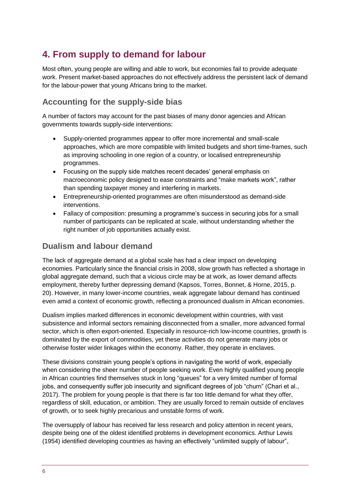# <span id="page-8-0"></span>**4. From supply to demand for labour**

Most often, young people are willing and able to work, but economies fail to provide adequate work. Present market-based approaches do not effectively address the persistent lack of demand for the labour-power that young Africans bring to the market.

### <span id="page-8-1"></span>**Accounting for the supply-side bias**

A number of factors may account for the past biases of many donor agencies and African governments towards supply-side interventions:

- Supply-oriented programmes appear to offer more incremental and small-scale approaches, which are more compatible with limited budgets and short time-frames, such as improving schooling in one region of a country, or localised entrepreneurship programmes.
- Focusing on the supply side matches recent decades' general emphasis on macroeconomic policy designed to ease constraints and "make markets work", rather than spending taxpayer money and interfering in markets.
- Entrepreneurship-oriented programmes are often misunderstood as demand-side interventions.
- Fallacy of composition: presuming a programme's success in securing jobs for a small number of participants can be replicated at scale, without understanding whether the right number of job opportunities actually exist.

### <span id="page-8-2"></span>**Dualism and labour demand**

The lack of aggregate demand at a global scale has had a clear impact on developing economies. Particularly since the financial crisis in 2008, slow growth has reflected a shortage in global aggregate demand, such that a vicious circle may be at work, as lower demand affects employment, thereby further depressing demand (Kapsos, Torres, Bonnet, & Horne, 2015, p. 20). However, in many lower-income countries, weak aggregate labour demand has continued even amid a context of economic growth, reflecting a pronounced dualism in African economies.

Dualism implies marked differences in economic development within countries, with vast subsistence and informal sectors remaining disconnected from a smaller, more advanced formal sector, which is often export-oriented. Especially in resource-rich low-income countries, growth is dominated by the export of commodities, yet these activities do not generate many jobs or otherwise foster wider linkages within the economy. Rather, they operate in enclaves.

These divisions constrain young people's options in navigating the world of work, especially when considering the sheer number of people seeking work. Even highly qualified young people in African countries find themselves stuck in long "queues" for a very limited number of formal jobs, and consequently suffer job insecurity and significant degrees of job "churn" (Chari et al., 2017). The problem for young people is that there is far too little demand for what they offer, regardless of skill, education, or ambition. They are usually forced to remain outside of enclaves of growth, or to seek highly precarious and unstable forms of work.

The oversupply of labour has received far less research and policy attention in recent years, despite being one of the oldest identified problems in development economics. Arthur Lewis (1954) identified developing countries as having an effectively "unlimited supply of labour",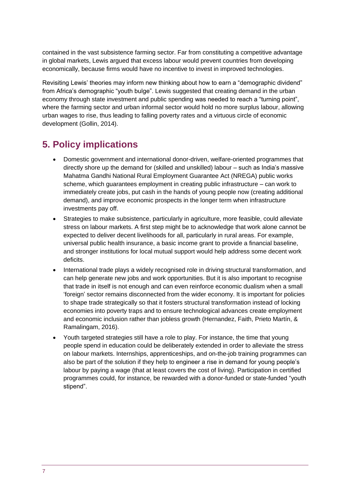contained in the vast subsistence farming sector. Far from constituting a competitive advantage in global markets, Lewis argued that excess labour would prevent countries from developing economically, because firms would have no incentive to invest in improved technologies.

Revisiting Lewis' theories may inform new thinking about how to earn a "demographic dividend" from Africa's demographic "youth bulge". Lewis suggested that creating demand in the urban economy through state investment and public spending was needed to reach a "turning point", where the farming sector and urban informal sector would hold no more surplus labour, allowing urban wages to rise, thus leading to falling poverty rates and a virtuous circle of economic development (Gollin, 2014).

# <span id="page-9-0"></span>**5. Policy implications**

- Domestic government and international donor-driven, welfare-oriented programmes that directly shore up the demand for (skilled and unskilled) labour – such as India's massive Mahatma Gandhi National Rural Employment Guarantee Act (NREGA) public works scheme, which guarantees employment in creating public infrastructure – can work to immediately create jobs, put cash in the hands of young people now (creating additional demand), and improve economic prospects in the longer term when infrastructure investments pay off.
- Strategies to make subsistence, particularly in agriculture, more feasible, could alleviate stress on labour markets. A first step might be to acknowledge that work alone cannot be expected to deliver decent livelihoods for all, particularly in rural areas. For example, universal public health insurance, a basic income grant to provide a financial baseline, and stronger institutions for local mutual support would help address some decent work deficits.
- International trade plays a widely recognised role in driving structural transformation, and can help generate new jobs and work opportunities. But it is also important to recognise that trade in itself is not enough and can even reinforce economic dualism when a small 'foreign' sector remains disconnected from the wider economy. It is important for policies to shape trade strategically so that it fosters structural transformation instead of locking economies into poverty traps and to ensure technological advances create employment and economic inclusion rather than jobless growth (Hernandez, Faith, Prieto Martín, & Ramalingam, 2016).
- Youth targeted strategies still have a role to play. For instance, the time that young people spend in education could be deliberately extended in order to alleviate the stress on labour markets. Internships, apprenticeships, and on-the-job training programmes can also be part of the solution if they help to engineer a rise in demand for young people's labour by paying a wage (that at least covers the cost of living). Participation in certified programmes could, for instance, be rewarded with a donor-funded or state-funded "youth stipend".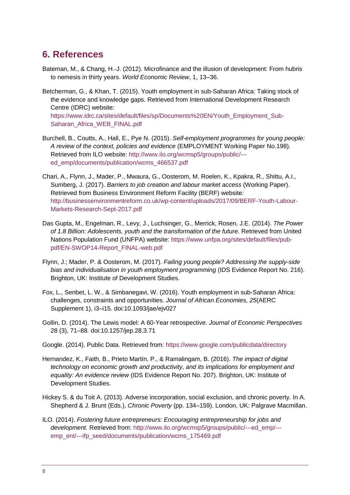# <span id="page-10-0"></span>**6. References**

- Bateman, M., & Chang, H.-J. (2012). Microfinance and the illusion of development: From hubris to nemesis in thirty years. *World Economic Review*, 1, 13–36.
- Betcherman, G., & Khan, T. (2015). Youth employment in sub-Saharan Africa: Taking stock of the evidence and knowledge gaps. Retrieved from International Development Research Centre (IDRC) website: [https://www.idrc.ca/sites/default/files/sp/Documents%20EN/Youth\\_Employment\\_Sub-](https://www.idrc.ca/sites/default/files/sp/Documents%20EN/Youth_Employment_Sub-Saharan_Africa_WEB_FINAL.pdf)[Saharan\\_Africa\\_WEB\\_FINAL.pdf](https://www.idrc.ca/sites/default/files/sp/Documents%20EN/Youth_Employment_Sub-Saharan_Africa_WEB_FINAL.pdf)
- Burchell, B., Coutts, A., Hall, E., Pye N. (2015). *Self-employment programmes for young people: A review of the context, policies and evidence* (EMPLOYMENT Working Paper No.198). Retrieved from ILO website: [http://www.ilo.org/wcmsp5/groups/public/--](http://www.ilo.org/wcmsp5/groups/public/---ed_emp/documents/publication/wcms_466537.pdf) [ed\\_emp/documents/publication/wcms\\_466537.pdf](http://www.ilo.org/wcmsp5/groups/public/---ed_emp/documents/publication/wcms_466537.pdf)
- Chari, A., Flynn, J., Mader, P., Mwaura, G., Oosterom, M. Roelen, K., Kpakra, R., Shittu, A.I., Sumberg, J. (2017). *Barriers to job creation and labour market access* (Working Paper). Retrieved from Business Environment Reform Facility (BERF) website: [http://businessenvironmentreform.co.uk/wp-content/uploads/2017/09/BERF-Youth-Labour-](http://businessenvironmentreform.co.uk/wp-content/uploads/2017/09/BERF-Youth-Labour-Markets-Research-Sept-2017.pdf)[Markets-Research-Sept-2017.pdf](http://businessenvironmentreform.co.uk/wp-content/uploads/2017/09/BERF-Youth-Labour-Markets-Research-Sept-2017.pdf)
- Das Gupta, M., Engelman, R., Levy, J., Luchsinger, G., Merrick, Rosen, J.E. (2014). *The Power of 1.8 Billion: Adolescents, youth and the transformation of the future*. Retrieved from United Nations Population Fund (UNFPA) website: [https://www.unfpa.org/sites/default/files/pub](https://www.unfpa.org/sites/default/files/pub-pdf/EN-SWOP14-Report_FINAL-web.pdf)[pdf/EN-SWOP14-Report\\_FINAL-web.pdf](https://www.unfpa.org/sites/default/files/pub-pdf/EN-SWOP14-Report_FINAL-web.pdf)
- Flynn, J.; Mader, P. & Oosterom, M. (2017). *Failing young people? Addressing the supply-side bias and individualisation in youth employment programming* (IDS Evidence Report No. 216). Brighton, UK: Institute of Development Studies.
- Fox, L., Senbet, L. W., & Simbanegavi, W. (2016). Youth employment in sub-Saharan Africa: challenges, constraints and opportunities. *Journal of African Economies, 25*(AERC Supplement 1), i3–i15. doi:10.1093/jae/ejv027
- Gollin, D. (2014). The Lewis model: A 60-Year retrospective. *Journal of Economic Perspectives* 28 (3), 71–88*.* doi:10.1257/jep.28.3.71
- Google. (2014). Public Data. Retrieved from:<https://www.google.com/publicdata/directory>
- Hernandez, K., Faith, B., Prieto Martín, P., & Ramalingam, B. (2016). *The impact of digital technology on economic growth and productivity, and its implications for employment and equality: An evidence review* (IDS Evidence Report No. 207). Brighton, UK: Institute of Development Studies.
- Hickey S. & du Toit A. (2013). Adverse incorporation, social exclusion, and chronic poverty. In A. Shepherd & J. Brunt (Eds.), *Chronic Poverty* (pp. 134–159). London, UK: Palgrave Macmillan.
- ILO. (2014). *Fostering future entrepreneurs: Encouraging entrepreneurship for jobs and development.* Retrieved from: [http://www.ilo.org/wcmsp5/groups/public/---ed\\_emp/--](http://www.ilo.org/wcmsp5/groups/public/---ed_emp/---emp_ent/---ifp_seed/documents/publication/wcms_175469.pdf) [emp\\_ent/---ifp\\_seed/documents/publication/wcms\\_175469.pdf](http://www.ilo.org/wcmsp5/groups/public/---ed_emp/---emp_ent/---ifp_seed/documents/publication/wcms_175469.pdf)